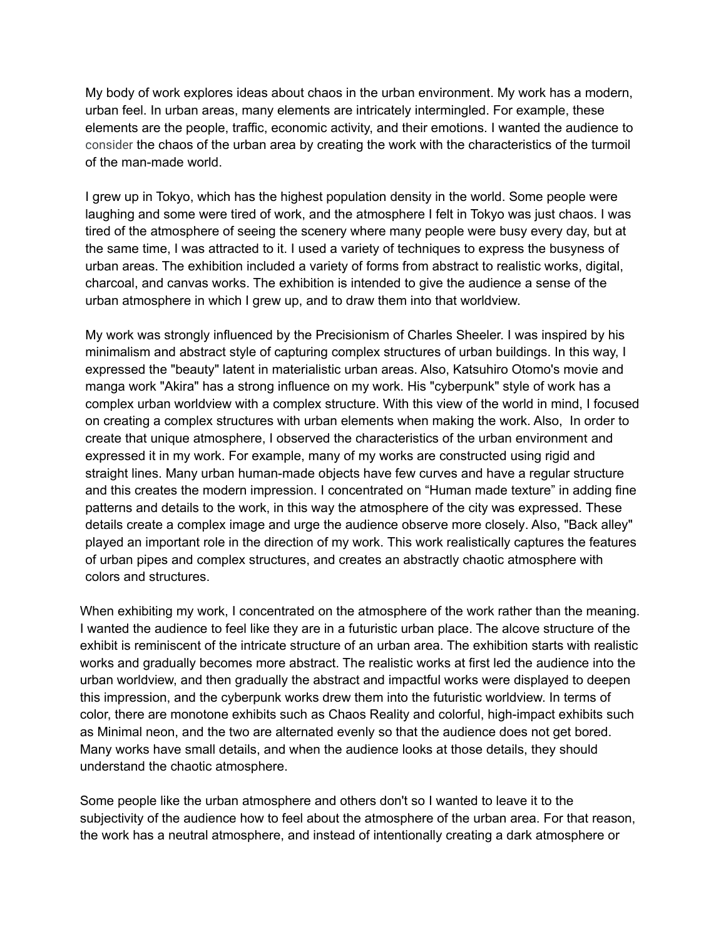My body of work explores ideas about chaos in the urban environment. My work has a modern, urban feel. In urban areas, many elements are intricately intermingled. For example, these elements are the people, traffic, economic activity, and their emotions. I wanted the audience to consider the chaos of the urban area by creating the work with the characteristics of the turmoil of the man-made world.

I grew up in Tokyo, which has the highest population density in the world. Some people were laughing and some were tired of work, and the atmosphere I felt in Tokyo was just chaos. I was tired of the atmosphere of seeing the scenery where many people were busy every day, but at the same time, I was attracted to it. I used a variety of techniques to express the busyness of urban areas. The exhibition included a variety of forms from abstract to realistic works, digital, charcoal, and canvas works. The exhibition is intended to give the audience a sense of the urban atmosphere in which I grew up, and to draw them into that worldview.

My work was strongly influenced by the Precisionism of Charles Sheeler. I was inspired by his minimalism and abstract style of capturing complex structures of urban buildings. In this way, I expressed the "beauty" latent in materialistic urban areas. Also, Katsuhiro Otomo's movie and manga work "Akira" has a strong influence on my work. His "cyberpunk" style of work has a complex urban worldview with a complex structure. With this view of the world in mind, I focused on creating a complex structures with urban elements when making the work. Also, In order to create that unique atmosphere, I observed the characteristics of the urban environment and expressed it in my work. For example, many of my works are constructed using rigid and straight lines. Many urban human-made objects have few curves and have a regular structure and this creates the modern impression. I concentrated on "Human made texture" in adding fine patterns and details to the work, in this way the atmosphere of the city was expressed. These details create a complex image and urge the audience observe more closely. Also, "Back alley" played an important role in the direction of my work. This work realistically captures the features of urban pipes and complex structures, and creates an abstractly chaotic atmosphere with colors and structures.

When exhibiting my work, I concentrated on the atmosphere of the work rather than the meaning. I wanted the audience to feel like they are in a futuristic urban place. The alcove structure of the exhibit is reminiscent of the intricate structure of an urban area. The exhibition starts with realistic works and gradually becomes more abstract. The realistic works at first led the audience into the urban worldview, and then gradually the abstract and impactful works were displayed to deepen this impression, and the cyberpunk works drew them into the futuristic worldview. In terms of color, there are monotone exhibits such as Chaos Reality and colorful, high-impact exhibits such as Minimal neon, and the two are alternated evenly so that the audience does not get bored. Many works have small details, and when the audience looks at those details, they should understand the chaotic atmosphere.

Some people like the urban atmosphere and others don't so I wanted to leave it to the subjectivity of the audience how to feel about the atmosphere of the urban area. For that reason, the work has a neutral atmosphere, and instead of intentionally creating a dark atmosphere or